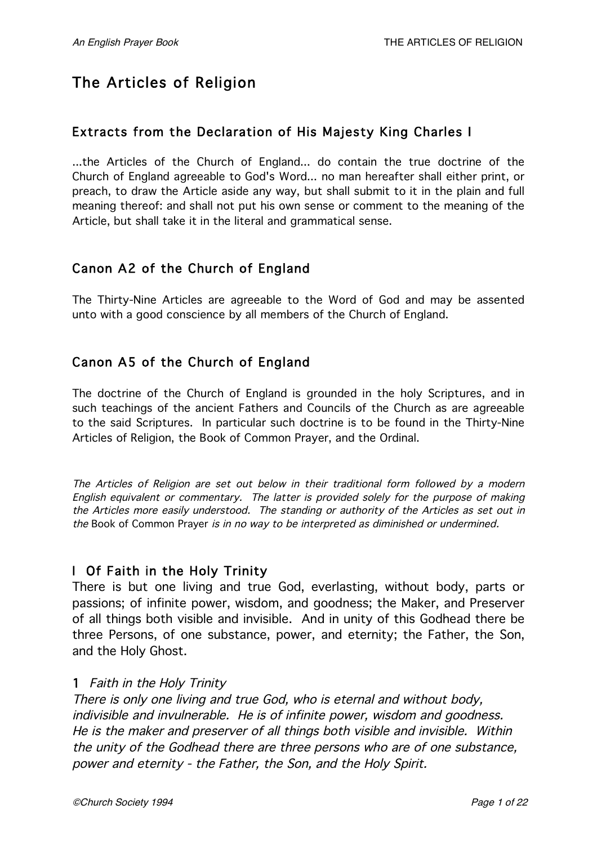# The Articles of Religion

# Extracts from the Declaration of His Majesty King Charles I

...the Articles of the Church of England... do contain the true doctrine of the Church of England agreeable to God's Word... no man hereafter shall either print, or preach, to draw the Article aside any way, but shall submit to it in the plain and full meaning thereof: and shall not put his own sense or comment to the meaning of the Article, but shall take it in the literal and grammatical sense.

# Canon A2 of the Church of England

The Thirty-Nine Articles are agreeable to the Word of God and may be assented unto with a good conscience by all members of the Church of England.

# Canon A5 of the Church of England

The doctrine of the Church of England is grounded in the holy Scriptures, and in such teachings of the ancient Fathers and Councils of the Church as are agreeable to the said Scriptures. In particular such doctrine is to be found in the Thirty-Nine Articles of Religion, the Book of Common Prayer, and the Ordinal.

The Articles of Religion are set out below in their traditional form followed by <sup>a</sup> modern English equivalent or commentary. The latter is provided solely for the purpose of making the Articles more easily understood. The standing or authority of the Articles as set out in the Book of Common Prayer is in no way to be interpreted as diminished or undermined.

### I Of Faith in the Holy Trinity

There is but one living and true God, everlasting, without body, parts or passions; of infinite power, wisdom, and goodness; the Maker, and Preserver of all things both visible and invisible. And in unity of this Godhead there be three Persons, of one substance, power, and eternity; the Father, the Son, and the Holy Ghost.

#### 1 Faith in the Holy Trinity

There is only one living and true God, who is eternal and without body, indivisible and invulnerable. He is of infinite power, wisdom and goodness. He is the maker and preserver of all things both visible and invisible. Within the unity of the Godhead there are three persons who are of one substance, power and eternity - the Father, the Son, and the Holy Spirit.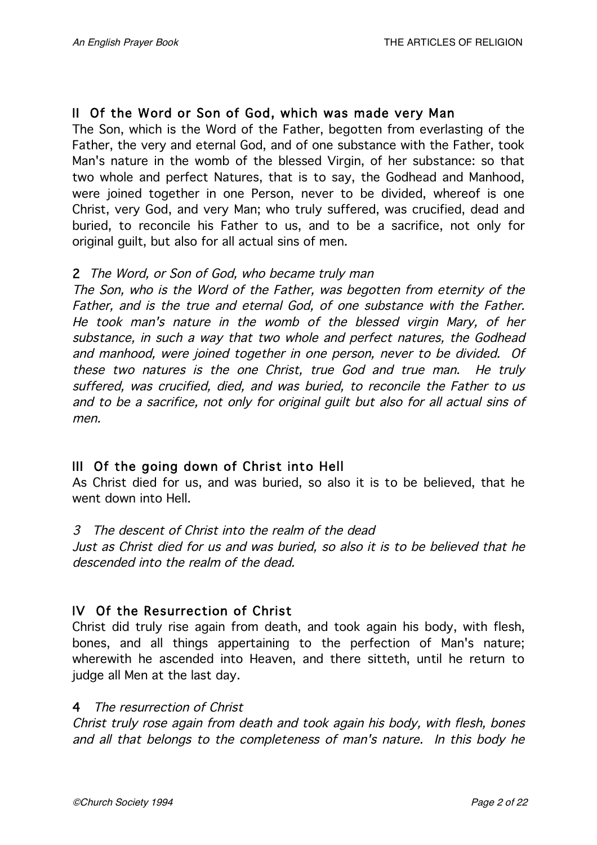# II Of the Word or Son of God, which was made very Man

The Son, which is the Word of the Father, begotten from everlasting of the Father, the very and eternal God, and of one substance with the Father, took Man's nature in the womb of the blessed Virgin, of her substance: so that two whole and perfect Natures, that is to say, the Godhead and Manhood, were joined together in one Person, never to be divided, whereof is one Christ, very God, and very Man; who truly suffered, was crucified, dead and buried, to reconcile his Father to us, and to be a sacrifice, not only for original guilt, but also for all actual sins of men.

### 2 The Word, or Son of God, who became truly man

The Son, who is the Word of the Father, was begotten from eternity of the Father, and is the true and eternal God, of one substance with the Father. He took man's nature in the womb of the blessed virgin Mary, of her substance, in such <sup>a</sup> way that two whole and perfect natures, the Godhead and manhood, were joined together in one person, never to be divided. Of these two natures is the one Christ, true God and true man. He truly suffered, was crucified, died, and was buried, to reconcile the Father to us and to be <sup>a</sup> sacrifice, not only for original guilt but also for all actual sins of men.

### III Of the going down of Christ into Hell

As Christ died for us, and was buried, so also it is to be believed, that he went down into Hell.

#### 3 The descent of Christ into the realm of the dead

Just as Christ died for us and was buried, so also it is to be believed that he descended into the realm of the dead.

### IV Of the Resurrection of Christ

Christ did truly rise again from death, and took again his body, with flesh, bones, and all things appertaining to the perfection of Man's nature; wherewith he ascended into Heaven, and there sitteth, until he return to judge all Men at the last day.

### 4 The resurrection of Christ

Christ truly rose again from death and took again his body, with flesh, bones and all that belongs to the completeness of man's nature. In this body he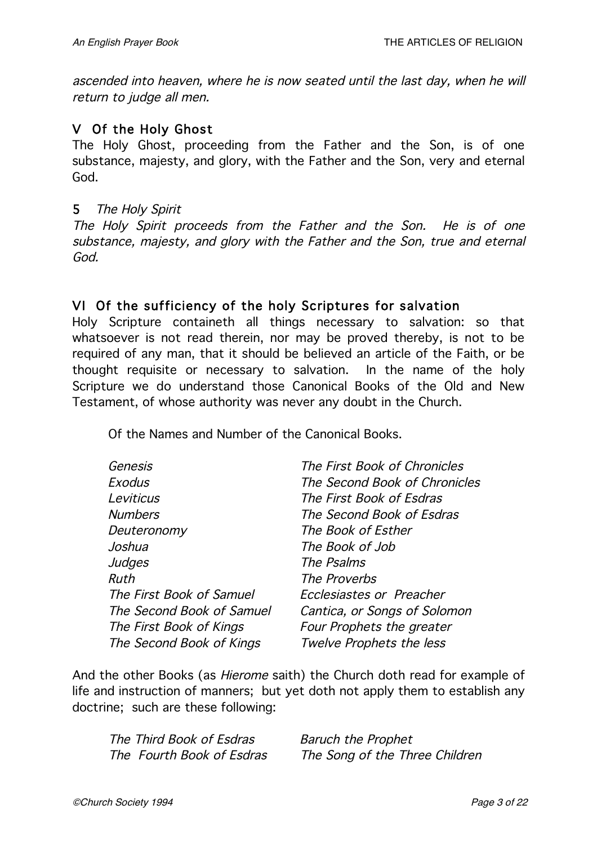ascended into heaven, where he is now seated until the last day, when he will return to judge all men.

# V Of the Holy Ghost

The Holy Ghost, proceeding from the Father and the Son, is of one substance, majesty, and glory, with the Father and the Son, very and eternal God.

#### 5 The Holy Spirit

The Holy Spirit proceeds from the Father and the Son. He is of one substance, majesty, and glory with the Father and the Son, true and eternal God.

# VI Of the sufficiency of the holy Scriptures for salvation

Holy Scripture containeth all things necessary to salvation: so that whatsoever is not read therein, nor may be proved thereby, is not to be required of any man, that it should be believed an article of the Faith, or be thought requisite or necessary to salvation. In the name of the holy Scripture we do understand those Canonical Books of the Old and New Testament, of whose authority was never any doubt in the Church.

Of the Names and Number of the Canonical Books.

| Genesis                   | The First Book of Chronicles  |
|---------------------------|-------------------------------|
| Exodus                    | The Second Book of Chronicles |
| Leviticus                 | The First Book of Esdras      |
| <b>Numbers</b>            | The Second Book of Esdras     |
| Deuteronomy               | The Book of Esther            |
| Joshua                    | The Book of Job               |
| Judges                    | The Psalms                    |
| Ruth                      | The Proverbs                  |
| The First Book of Samuel  | Ecclesiastes or Preacher      |
| The Second Book of Samuel | Cantica, or Songs of Solomon  |
| The First Book of Kings   | Four Prophets the greater     |
| The Second Book of Kings  | Twelve Prophets the less      |
|                           |                               |

And the other Books (as *Hierome* saith) the Church doth read for example of life and instruction of manners; but yet doth not apply them to establish any doctrine; such are these following:

| The Third Book of Esdras  | <b>Baruch the Prophet</b>      |
|---------------------------|--------------------------------|
| The Fourth Book of Esdras | The Song of the Three Children |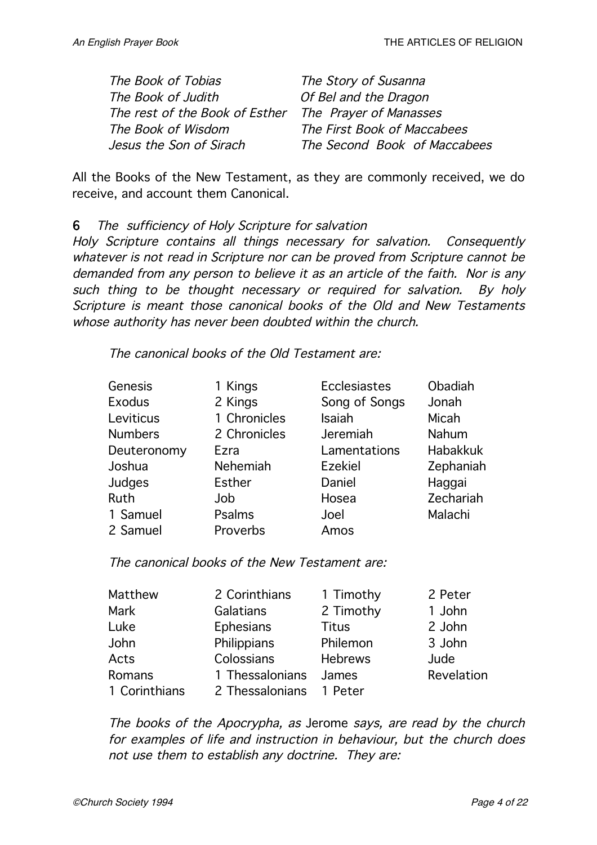| The Book of Tobias             | The Story of Susanna         |
|--------------------------------|------------------------------|
| The Book of Judith             | Of Bel and the Dragon        |
| The rest of the Book of Esther | The Prayer of Manasses       |
| The Book of Wisdom             | The First Book of Maccabees  |
| Jesus the Son of Sirach        | The Second Book of Maccabees |

All the Books of the New Testament, as they are commonly received, we do receive, and account them Canonical.

6 The sufficiency of Holy Scripture for salvation

Holy Scripture contains all things necessary for salvation. Consequently whatever is not read in Scripture nor can be proved from Scripture cannot be demanded from any person to believe it as an article of the faith. Nor is any such thing to be thought necessary or required for salvation. By holy Scripture is meant those canonical books of the Old and New Testaments whose authority has never been doubted within the church.

The canonical books of the Old Testament are:

| Genesis        | 1 Kings       | Ecclesiastes   | Obadiah         |
|----------------|---------------|----------------|-----------------|
| <b>Exodus</b>  | 2 Kings       | Song of Songs  | Jonah           |
| Leviticus      | 1 Chronicles  | Isaiah         | Micah           |
| <b>Numbers</b> | 2 Chronicles  | Jeremiah       | Nahum           |
| Deuteronomy    | Ezra          | Lamentations   | <b>Habakkuk</b> |
| Joshua         | Nehemiah      | <b>Ezekiel</b> | Zephaniah       |
| Judges         | <b>Esther</b> | Daniel         | Haggai          |
| <b>Ruth</b>    | Job           | Hosea          | Zechariah       |
| 1 Samuel       | Psalms        | Joel           | Malachi         |
| 2 Samuel       | Proverbs      | Amos           |                 |
|                |               |                |                 |

The canonical books of the New Testament are:

| Matthew       | 2 Corinthians   | 1 Timothy      | 2 Peter    |
|---------------|-----------------|----------------|------------|
| Mark          | Galatians       | 2 Timothy      | 1 John     |
| Luke          | Ephesians       | <b>Titus</b>   | 2 John     |
| John          | Philippians     | Philemon       | 3 John     |
| Acts          | Colossians      | <b>Hebrews</b> | Jude       |
| Romans        | 1 Thessalonians | James          | Revelation |
| 1 Corinthians | 2 Thessalonians | 1 Peter        |            |

The books of the Apocrypha, as Jerome says, are read by the church for examples of life and instruction in behaviour, but the church does not use them to establish any doctrine. They are: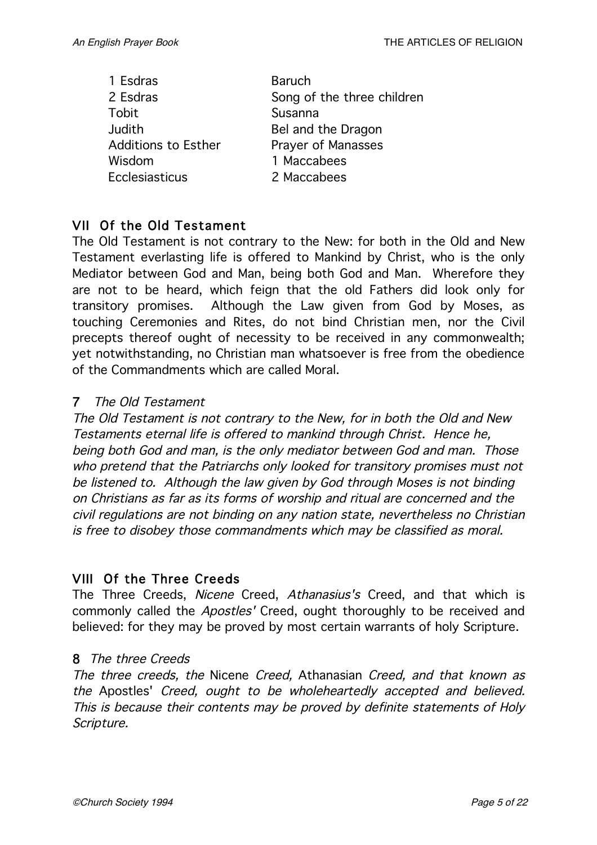| 1 Esdras                   | <b>Baruch</b>              |
|----------------------------|----------------------------|
| 2 Esdras                   | Song of the three children |
| Tobit                      | Susanna                    |
| Judith                     | Bel and the Dragon         |
| <b>Additions to Esther</b> | <b>Prayer of Manasses</b>  |
| Wisdom                     | 1 Maccabees                |
| <b>Ecclesiasticus</b>      | 2 Maccabees                |

### VII Of the Old Testament

The Old Testament is not contrary to the New: for both in the Old and New Testament everlasting life is offered to Mankind by Christ, who is the only Mediator between God and Man, being both God and Man. Wherefore they are not to be heard, which feign that the old Fathers did look only for transitory promises. Although the Law given from God by Moses, as touching Ceremonies and Rites, do not bind Christian men, nor the Civil precepts thereof ought of necessity to be received in any commonwealth; yet notwithstanding, no Christian man whatsoever is free from the obedience of the Commandments which are called Moral.

#### 7 The Old Testament

The Old Testament is not contrary to the New, for in both the Old and New Testaments eternal life is offered to mankind through Christ. Hence he, being both God and man, is the only mediator between God and man. Those who pretend that the Patriarchs only looked for transitory promises must not be listened to. Although the law given by God through Moses is not binding on Christians as far as its forms of worship and ritual are concerned and the civil regulations are not binding on any nation state, nevertheless no Christian is free to disobey those commandments which may be classified as moral.

### VIII Of the Three Creeds

The Three Creeds, Nicene Creed, Athanasius's Creed, and that which is commonly called the Apostles' Creed, ought thoroughly to be received and believed: for they may be proved by most certain warrants of holy Scripture.

#### 8 The three Creeds

The three creeds, the Nicene Creed, Athanasian Creed, and that known as the Apostles' Creed, ought to be wholeheartedly accepted and believed. This is because their contents may be proved by definite statements of Holy Scripture.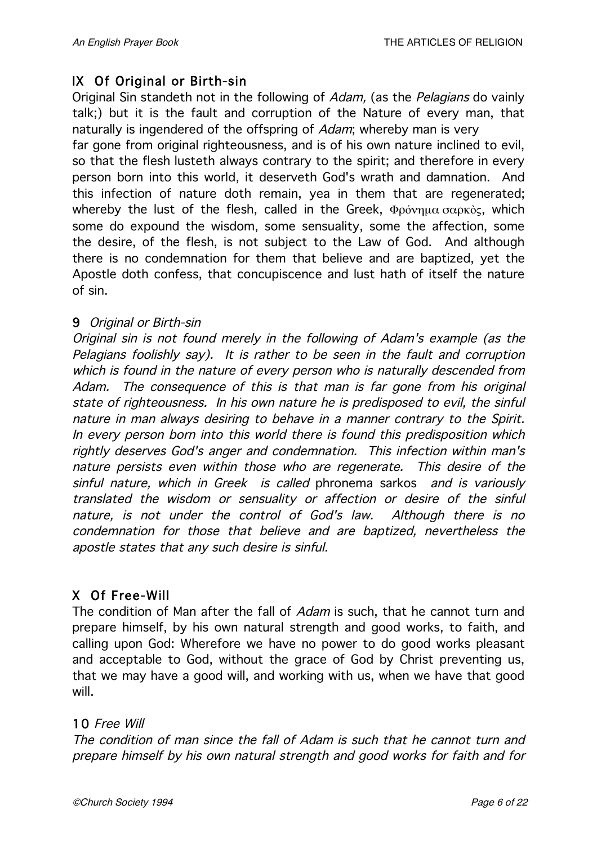# IX Of Original or Birth-sin

Original Sin standeth not in the following of Adam, (as the Pelagians do vainly talk;) but it is the fault and corruption of the Nature of every man, that naturally is ingendered of the offspring of *Adam*; whereby man is very

far gone from original righteousness, and is of his own nature inclined to evil, so that the flesh lusteth always contrary to the spirit; and therefore in every person born into this world, it deserveth God's wrath and damnation. And this infection of nature doth remain, yea in them that are regenerated; whereby the lust of the flesh, called in the Greek, Φρόνημα σαρκὸς, which some do expound the wisdom, some sensuality, some the affection, some the desire, of the flesh, is not subject to the Law of God. And although there is no condemnation for them that believe and are baptized, yet the Apostle doth confess, that concupiscence and lust hath of itself the nature of sin.

### 9 Original or Birth-sin

Original sin is not found merely in the following of Adam's example (as the Pelagians foolishly say). It is rather to be seen in the fault and corruption which is found in the nature of every person who is naturally descended from Adam. The consequence of this is that man is far gone from his original state of righteousness. In his own nature he is predisposed to evil, the sinful nature in man always desiring to behave in <sup>a</sup> manner contrary to the Spirit. In every person born into this world there is found this predisposition which rightly deserves God's anger and condemnation. This infection within man's nature persists even within those who are regenerate. This desire of the sinful nature, which in Greek is called phronema sarkos and is variously translated the wisdom or sensuality or affection or desire of the sinful nature, is not under the control of God's law. Although there is no condemnation for those that believe and are baptized, nevertheless the apostle states that any such desire is sinful.

# X Of Free-Will

The condition of Man after the fall of *Adam* is such, that he cannot turn and prepare himself, by his own natural strength and good works, to faith, and calling upon God: Wherefore we have no power to do good works pleasant and acceptable to God, without the grace of God by Christ preventing us, that we may have a good will, and working with us, when we have that good will.

### 10 Free Will

The condition of man since the fall of Adam is such that he cannot turn and prepare himself by his own natural strength and good works for faith and for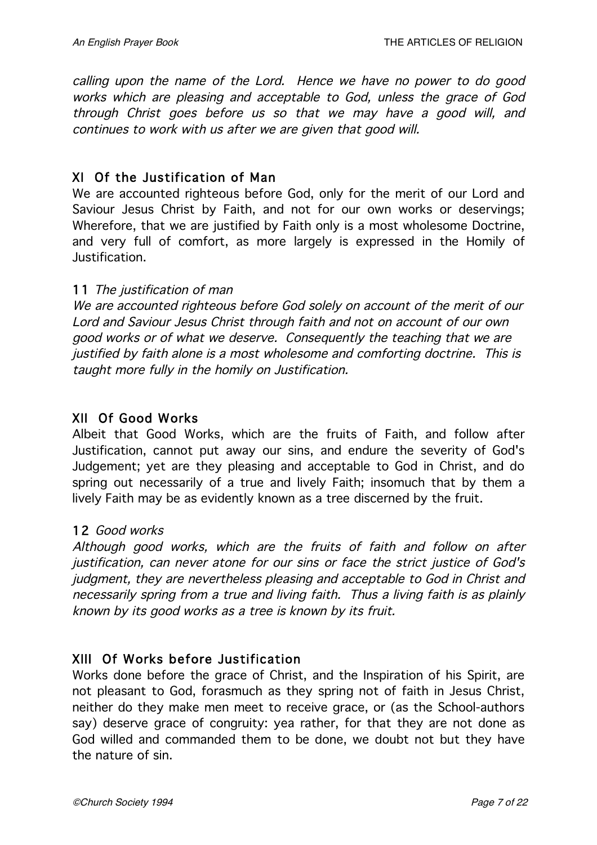calling upon the name of the Lord. Hence we have no power to do good works which are pleasing and acceptable to God, unless the grace of God through Christ goes before us so that we may have <sup>a</sup> good will, and continues to work with us after we are given that good will.

### XI Of the Justification of Man

We are accounted righteous before God, only for the merit of our Lord and Saviour Jesus Christ by Faith, and not for our own works or deservings; Wherefore, that we are justified by Faith only is a most wholesome Doctrine, and very full of comfort, as more largely is expressed in the Homily of Justification.

### 11 The justification of man

We are accounted righteous before God solely on account of the merit of our Lord and Saviour Jesus Christ through faith and not on account of our own good works or of what we deserve. Consequently the teaching that we are justified by faith alone is <sup>a</sup> most wholesome and comforting doctrine. This is taught more fully in the homily on Justification.

### XII Of Good Works

Albeit that Good Works, which are the fruits of Faith, and follow after Justification, cannot put away our sins, and endure the severity of God's Judgement; yet are they pleasing and acceptable to God in Christ, and do spring out necessarily of a true and lively Faith; insomuch that by them a lively Faith may be as evidently known as a tree discerned by the fruit.

### 12 Good works

Although good works, which are the fruits of faith and follow on after justification, can never atone for our sins or face the strict justice of God's judgment, they are nevertheless pleasing and acceptable to God in Christ and necessarily spring from <sup>a</sup> true and living faith. Thus <sup>a</sup> living faith is as plainly known by its good works as <sup>a</sup> tree is known by its fruit.

### XIII Of Works before Justification

Works done before the grace of Christ, and the Inspiration of his Spirit, are not pleasant to God, forasmuch as they spring not of faith in Jesus Christ, neither do they make men meet to receive grace, or (as the School-authors say) deserve grace of congruity: yea rather, for that they are not done as God willed and commanded them to be done, we doubt not but they have the nature of sin.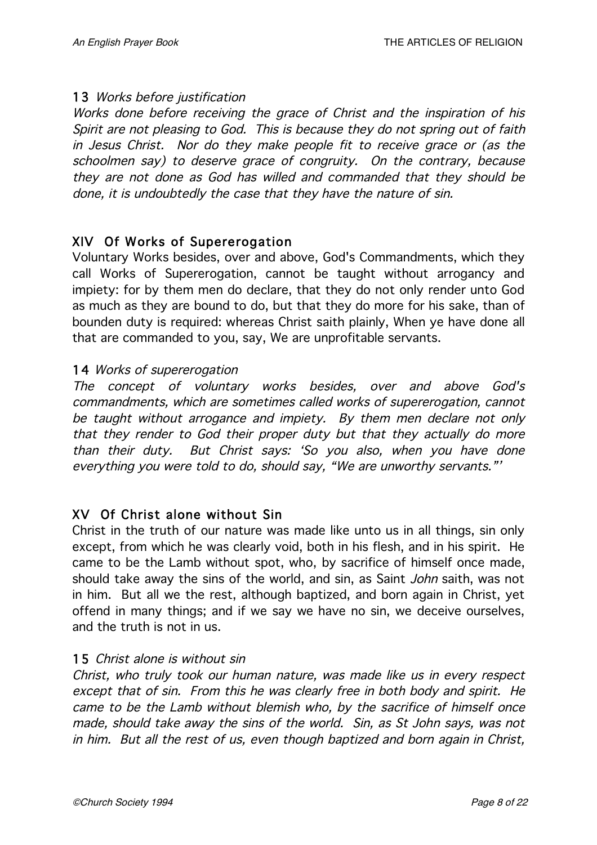### 13 Works before justification

Works done before receiving the grace of Christ and the inspiration of his Spirit are not pleasing to God. This is because they do not spring out of faith in Jesus Christ. Nor do they make people fit to receive grace or (as the schoolmen say) to deserve grace of congruity. On the contrary, because they are not done as God has willed and commanded that they should be done, it is undoubtedly the case that they have the nature of sin.

### XIV Of Works of Supererogation

Voluntary Works besides, over and above, God's Commandments, which they call Works of Supererogation, cannot be taught without arrogancy and impiety: for by them men do declare, that they do not only render unto God as much as they are bound to do, but that they do more for his sake, than of bounden duty is required: whereas Christ saith plainly, When ye have done all that are commanded to you, say, We are unprofitable servants.

#### 14 Works of supererogation

The concept of voluntary works besides, over and above God's commandments, which are sometimes called works of supererogation, cannot be taught without arrogance and impiety. By them men declare not only that they render to God their proper duty but that they actually do more than their duty. But Christ says: 'So you also, when you have done everything you were told to do, should say, "We are unworthy servants."'

### XV Of Christ alone without Sin

Christ in the truth of our nature was made like unto us in all things, sin only except, from which he was clearly void, both in his flesh, and in his spirit. He came to be the Lamb without spot, who, by sacrifice of himself once made, should take away the sins of the world, and sin, as Saint John saith, was not in him. But all we the rest, although baptized, and born again in Christ, yet offend in many things; and if we say we have no sin, we deceive ourselves, and the truth is not in us.

#### 15 Christ alone is without sin

Christ, who truly took our human nature, was made like us in every respect except that of sin. From this he was clearly free in both body and spirit. He came to be the Lamb without blemish who, by the sacrifice of himself once made, should take away the sins of the world. Sin, as St John says, was not in him. But all the rest of us, even though baptized and born again in Christ,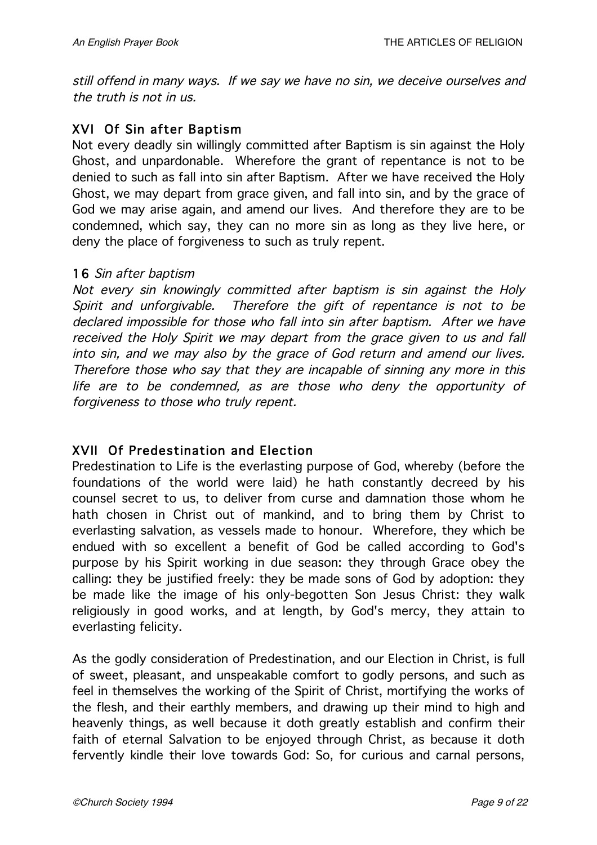still offend in many ways. If we say we have no sin, we deceive ourselves and the truth is not in us.

# XVI Of Sin after Baptism

Not every deadly sin willingly committed after Baptism is sin against the Holy Ghost, and unpardonable. Wherefore the grant of repentance is not to be denied to such as fall into sin after Baptism. After we have received the Holy Ghost, we may depart from grace given, and fall into sin, and by the grace of God we may arise again, and amend our lives. And therefore they are to be condemned, which say, they can no more sin as long as they live here, or deny the place of forgiveness to such as truly repent.

#### 16 Sin after baptism

Not every sin knowingly committed after baptism is sin against the Holy Spirit and unforgivable. Therefore the gift of repentance is not to be declared impossible for those who fall into sin after baptism. After we have received the Holy Spirit we may depart from the grace given to us and fall into sin, and we may also by the grace of God return and amend our lives. Therefore those who say that they are incapable of sinning any more in this life are to be condemned, as are those who deny the opportunity of forgiveness to those who truly repent.

### XVII Of Predestination and Election

Predestination to Life is the everlasting purpose of God, whereby (before the foundations of the world were laid) he hath constantly decreed by his counsel secret to us, to deliver from curse and damnation those whom he hath chosen in Christ out of mankind, and to bring them by Christ to everlasting salvation, as vessels made to honour. Wherefore, they which be endued with so excellent a benefit of God be called according to God's purpose by his Spirit working in due season: they through Grace obey the calling: they be justified freely: they be made sons of God by adoption: they be made like the image of his only-begotten Son Jesus Christ: they walk religiously in good works, and at length, by God's mercy, they attain to everlasting felicity.

As the godly consideration of Predestination, and our Election in Christ, is full of sweet, pleasant, and unspeakable comfort to godly persons, and such as feel in themselves the working of the Spirit of Christ, mortifying the works of the flesh, and their earthly members, and drawing up their mind to high and heavenly things, as well because it doth greatly establish and confirm their faith of eternal Salvation to be enjoyed through Christ, as because it doth fervently kindle their love towards God: So, for curious and carnal persons,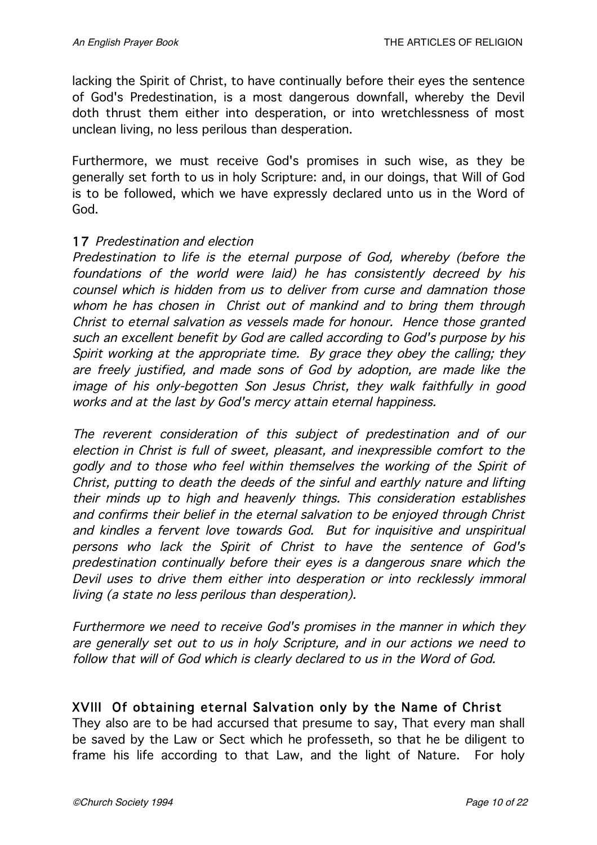lacking the Spirit of Christ, to have continually before their eyes the sentence of God's Predestination, is a most dangerous downfall, whereby the Devil doth thrust them either into desperation, or into wretchlessness of most unclean living, no less perilous than desperation.

Furthermore, we must receive God's promises in such wise, as they be generally set forth to us in holy Scripture: and, in our doings, that Will of God is to be followed, which we have expressly declared unto us in the Word of God.

#### 17 Predestination and election

Predestination to life is the eternal purpose of God, whereby (before the foundations of the world were laid) he has consistently decreed by his counsel which is hidden from us to deliver from curse and damnation those whom he has chosen in Christ out of mankind and to bring them through Christ to eternal salvation as vessels made for honour. Hence those granted such an excellent benefit by God are called according to God's purpose by his Spirit working at the appropriate time. By grace they obey the calling; they are freely justified, and made sons of God by adoption, are made like the image of his only-begotten Son Jesus Christ, they walk faithfully in good works and at the last by God's mercy attain eternal happiness.

The reverent consideration of this subject of predestination and of our election in Christ is full of sweet, pleasant, and inexpressible comfort to the godly and to those who feel within themselves the working of the Spirit of Christ, putting to death the deeds of the sinful and earthly nature and lifting their minds up to high and heavenly things. This consideration establishes and confirms their belief in the eternal salvation to be enjoyed through Christ and kindles <sup>a</sup> fervent love towards God. But for inquisitive and unspiritual persons who lack the Spirit of Christ to have the sentence of God's predestination continually before their eyes is <sup>a</sup> dangerous snare which the Devil uses to drive them either into desperation or into recklessly immoral living (a state no less perilous than desperation).

Furthermore we need to receive God's promises in the manner in which they are generally set out to us in holy Scripture, and in our actions we need to follow that will of God which is clearly declared to us in the Word of God.

### XVIII Of obtaining eternal Salvation only by the Name of Christ

They also are to be had accursed that presume to say, That every man shall be saved by the Law or Sect which he professeth, so that he be diligent to frame his life according to that Law, and the light of Nature. For holy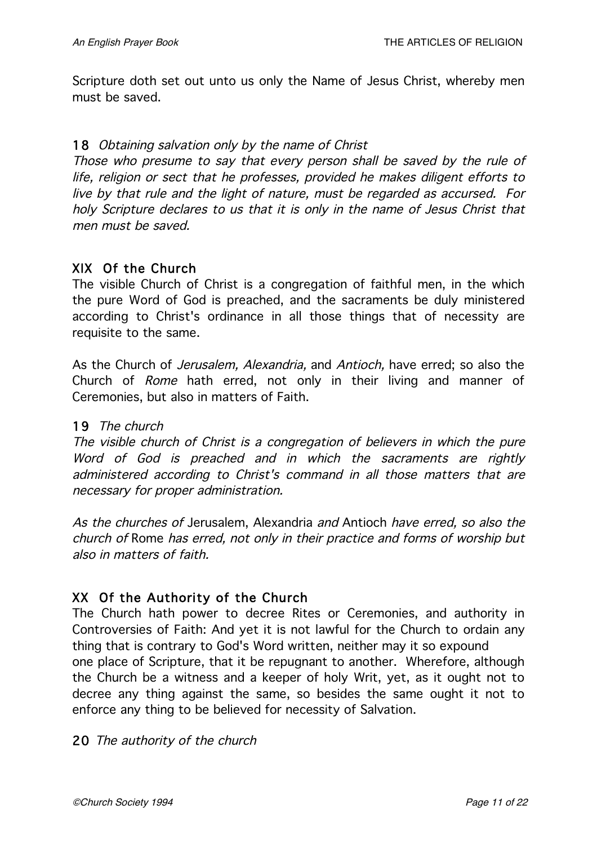Scripture doth set out unto us only the Name of Jesus Christ, whereby men must be saved.

#### 18 Obtaining salvation only by the name of Christ

Those who presume to say that every person shall be saved by the rule of life, religion or sect that he professes, provided he makes diligent efforts to live by that rule and the light of nature, must be regarded as accursed. For holy Scripture declares to us that it is only in the name of Jesus Christ that men must be saved.

#### XIX Of the Church

The visible Church of Christ is a congregation of faithful men, in the which the pure Word of God is preached, and the sacraments be duly ministered according to Christ's ordinance in all those things that of necessity are requisite to the same.

As the Church of *Jerusalem, Alexandria,* and *Antioch*, have erred; so also the Church of Rome hath erred, not only in their living and manner of Ceremonies, but also in matters of Faith.

#### 19 The church

The visible church of Christ is <sup>a</sup> congregation of believers in which the pure Word of God is preached and in which the sacraments are rightly administered according to Christ's command in all those matters that are necessary for proper administration.

As the churches of Jerusalem, Alexandria and Antioch have erred, so also the church of Rome has erred, not only in their practice and forms of worship but also in matters of faith.

### XX Of the Authority of the Church

The Church hath power to decree Rites or Ceremonies, and authority in Controversies of Faith: And yet it is not lawful for the Church to ordain any thing that is contrary to God's Word written, neither may it so expound one place of Scripture, that it be repugnant to another. Wherefore, although the Church be a witness and a keeper of holy Writ, yet, as it ought not to decree any thing against the same, so besides the same ought it not to enforce any thing to be believed for necessity of Salvation.

#### 20 The authority of the church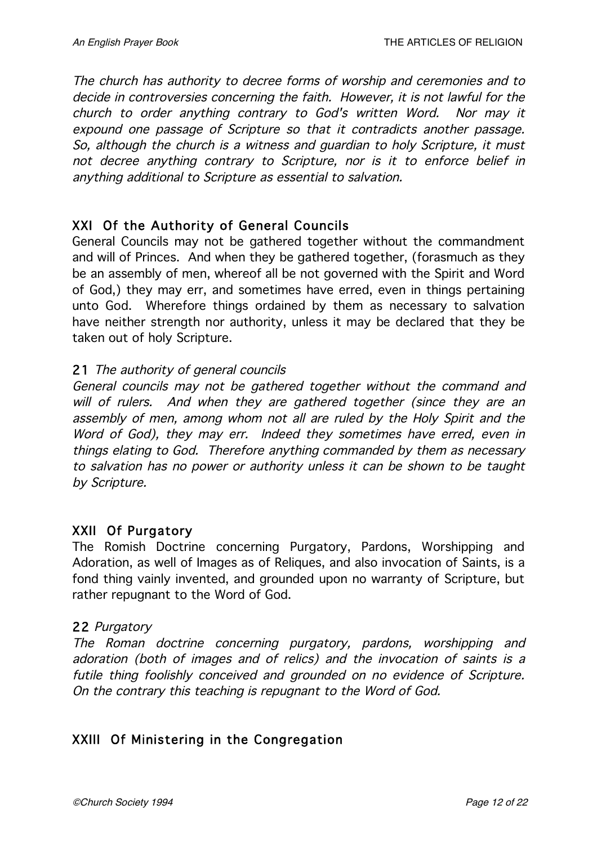The church has authority to decree forms of worship and ceremonies and to decide in controversies concerning the faith. However, it is not lawful for the church to order anything contrary to God's written Word. Nor may it expound one passage of Scripture so that it contradicts another passage. So, although the church is <sup>a</sup> witness and guardian to holy Scripture, it must not decree anything contrary to Scripture, nor is it to enforce belief in anything additional to Scripture as essential to salvation.

### XXI Of the Authority of General Councils

General Councils may not be gathered together without the commandment and will of Princes. And when they be gathered together, (forasmuch as they be an assembly of men, whereof all be not governed with the Spirit and Word of God,) they may err, and sometimes have erred, even in things pertaining unto God. Wherefore things ordained by them as necessary to salvation have neither strength nor authority, unless it may be declared that they be taken out of holy Scripture.

### 21 The authority of general councils

General councils may not be gathered together without the command and will of rulers. And when they are gathered together (since they are an assembly of men, among whom not all are ruled by the Holy Spirit and the Word of God), they may err. Indeed they sometimes have erred, even in things elating to God. Therefore anything commanded by them as necessary to salvation has no power or authority unless it can be shown to be taught by Scripture.

### XXII Of Purgatory

The Romish Doctrine concerning Purgatory, Pardons, Worshipping and Adoration, as well of Images as of Reliques, and also invocation of Saints, is a fond thing vainly invented, and grounded upon no warranty of Scripture, but rather repugnant to the Word of God.

#### 22 Purgatory

The Roman doctrine concerning purgatory, pardons, worshipping and adoration (both of images and of relics) and the invocation of saints is <sup>a</sup> futile thing foolishly conceived and grounded on no evidence of Scripture. On the contrary this teaching is repugnant to the Word of God.

# XXIII Of Ministering in the Congregation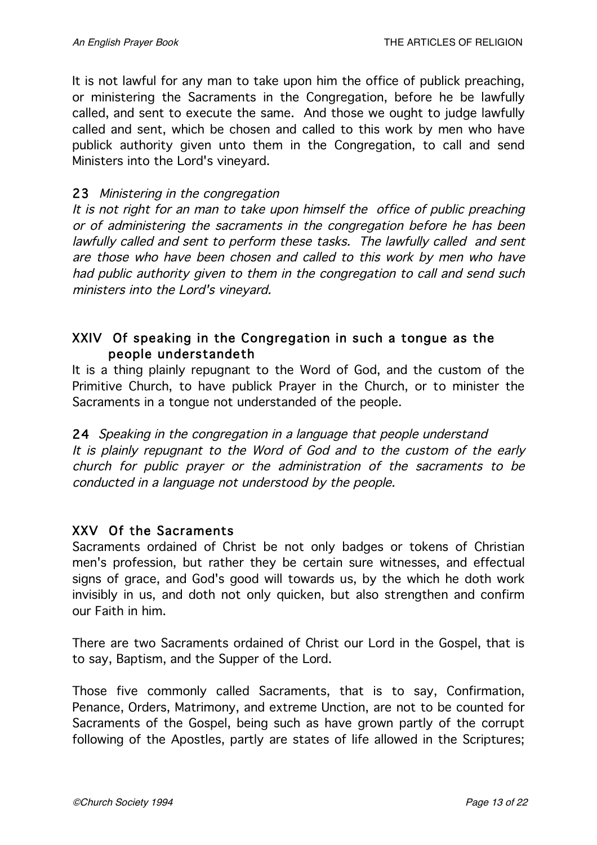It is not lawful for any man to take upon him the office of publick preaching, or ministering the Sacraments in the Congregation, before he be lawfully called, and sent to execute the same. And those we ought to judge lawfully called and sent, which be chosen and called to this work by men who have publick authority given unto them in the Congregation, to call and send Ministers into the Lord's vineyard.

#### 23 Ministering in the congregation

It is not right for an man to take upon himself the office of public preaching or of administering the sacraments in the congregation before he has been lawfully called and sent to perform these tasks. The lawfully called and sent are those who have been chosen and called to this work by men who have had public authority given to them in the congregation to call and send such ministers into the Lord's vineyard.

# XXIV Of speaking in the Congregation in such a tongue as the people understandeth

It is a thing plainly repugnant to the Word of God, and the custom of the Primitive Church, to have publick Prayer in the Church, or to minister the Sacraments in a tongue not understanded of the people.

24 Speaking in the congregation in a language that people understand It is plainly repugnant to the Word of God and to the custom of the early church for public prayer or the administration of the sacraments to be conducted in <sup>a</sup> language not understood by the people.

### XXV Of the Sacraments

Sacraments ordained of Christ be not only badges or tokens of Christian men's profession, but rather they be certain sure witnesses, and effectual signs of grace, and God's good will towards us, by the which he doth work invisibly in us, and doth not only quicken, but also strengthen and confirm our Faith in him.

There are two Sacraments ordained of Christ our Lord in the Gospel, that is to say, Baptism, and the Supper of the Lord.

Those five commonly called Sacraments, that is to say, Confirmation, Penance, Orders, Matrimony, and extreme Unction, are not to be counted for Sacraments of the Gospel, being such as have grown partly of the corrupt following of the Apostles, partly are states of life allowed in the Scriptures;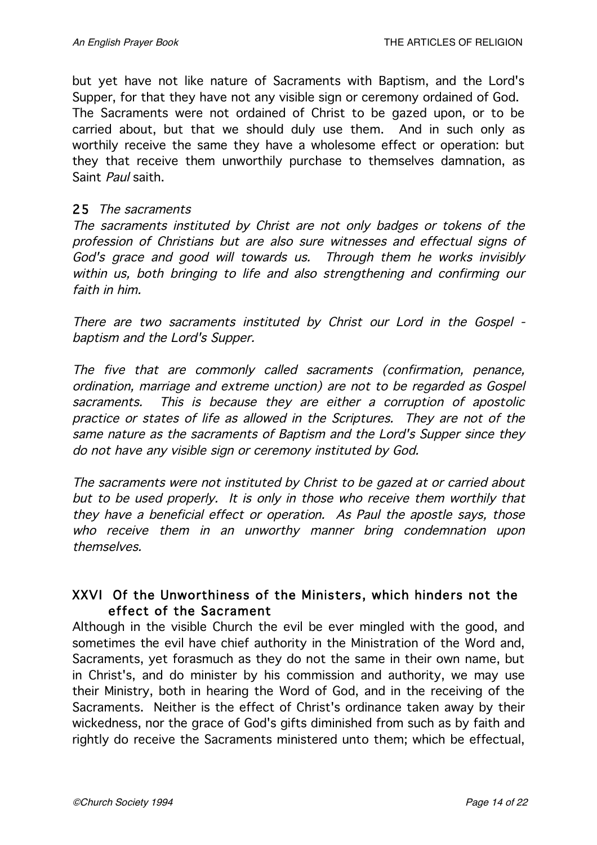but yet have not like nature of Sacraments with Baptism, and the Lord's Supper, for that they have not any visible sign or ceremony ordained of God. The Sacraments were not ordained of Christ to be gazed upon, or to be carried about, but that we should duly use them. And in such only as worthily receive the same they have a wholesome effect or operation: but they that receive them unworthily purchase to themselves damnation, as Saint Paul saith.

#### 25 The sacraments

The sacraments instituted by Christ are not only badges or tokens of the profession of Christians but are also sure witnesses and effectual signs of God's grace and good will towards us. Through them he works invisibly within us, both bringing to life and also strengthening and confirming our faith in him.

There are two sacraments instituted by Christ our Lord in the Gospel baptism and the Lord's Supper.

The five that are commonly called sacraments (confirmation, penance, ordination, marriage and extreme unction) are not to be regarded as Gospel sacraments. This is because they are either <sup>a</sup> corruption of apostolic practice or states of life as allowed in the Scriptures. They are not of the same nature as the sacraments of Baptism and the Lord's Supper since they do not have any visible sign or ceremony instituted by God.

The sacraments were not instituted by Christ to be gazed at or carried about but to be used properly. It is only in those who receive them worthily that they have <sup>a</sup> beneficial effect or operation. As Paul the apostle says, those who receive them in an unworthy manner bring condemnation upon themselves.

# XXVI Of the Unworthiness of the Ministers, which hinders not the effect of the Sacrament

Although in the visible Church the evil be ever mingled with the good, and sometimes the evil have chief authority in the Ministration of the Word and, Sacraments, yet forasmuch as they do not the same in their own name, but in Christ's, and do minister by his commission and authority, we may use their Ministry, both in hearing the Word of God, and in the receiving of the Sacraments. Neither is the effect of Christ's ordinance taken away by their wickedness, nor the grace of God's gifts diminished from such as by faith and rightly do receive the Sacraments ministered unto them; which be effectual,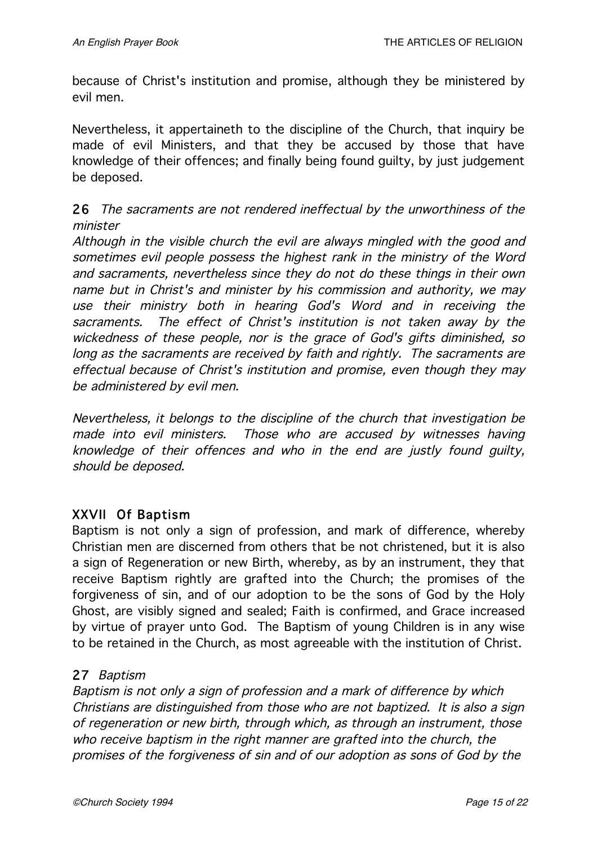because of Christ's institution and promise, although they be ministered by evil men.

Nevertheless, it appertaineth to the discipline of the Church, that inquiry be made of evil Ministers, and that they be accused by those that have knowledge of their offences; and finally being found guilty, by just judgement be deposed.

### 26 The sacraments are not rendered ineffectual by the unworthiness of the minister

Although in the visible church the evil are always mingled with the good and sometimes evil people possess the highest rank in the ministry of the Word and sacraments, nevertheless since they do not do these things in their own name but in Christ's and minister by his commission and authority, we may use their ministry both in hearing God's Word and in receiving the sacraments. The effect of Christ's institution is not taken away by the wickedness of these people, nor is the grace of God's gifts diminished, so long as the sacraments are received by faith and rightly. The sacraments are effectual because of Christ's institution and promise, even though they may be administered by evil men.

Nevertheless, it belongs to the discipline of the church that investigation be made into evil ministers. Those who are accused by witnesses having knowledge of their offences and who in the end are justly found guilty, should be deposed.

### XXVII Of Baptism

Baptism is not only a sign of profession, and mark of difference, whereby Christian men are discerned from others that be not christened, but it is also a sign of Regeneration or new Birth, whereby, as by an instrument, they that receive Baptism rightly are grafted into the Church; the promises of the forgiveness of sin, and of our adoption to be the sons of God by the Holy Ghost, are visibly signed and sealed; Faith is confirmed, and Grace increased by virtue of prayer unto God. The Baptism of young Children is in any wise to be retained in the Church, as most agreeable with the institution of Christ.

### 27 Baptism

Baptism is not only <sup>a</sup> sign of profession and <sup>a</sup> mark of difference by which Christians are distinguished from those who are not baptized. It is also <sup>a</sup> sign of regeneration or new birth, through which, as through an instrument, those who receive baptism in the right manner are grafted into the church, the promises of the forgiveness of sin and of our adoption as sons of God by the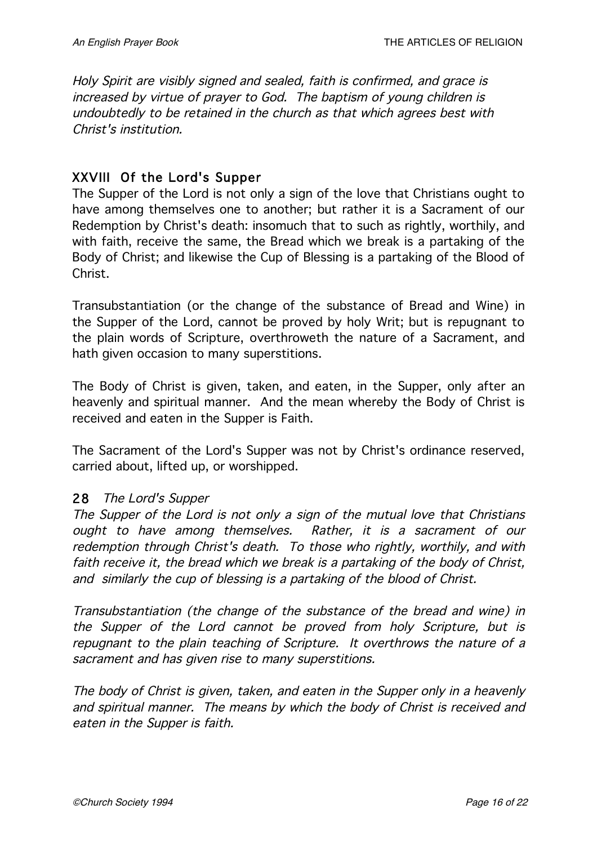Holy Spirit are visibly signed and sealed, faith is confirmed, and grace is increased by virtue of prayer to God. The baptism of young children is undoubtedly to be retained in the church as that which agrees best with Christ's institution.

# XXVIII Of the Lord's Supper

The Supper of the Lord is not only a sign of the love that Christians ought to have among themselves one to another; but rather it is a Sacrament of our Redemption by Christ's death: insomuch that to such as rightly, worthily, and with faith, receive the same, the Bread which we break is a partaking of the Body of Christ; and likewise the Cup of Blessing is a partaking of the Blood of Christ.

Transubstantiation (or the change of the substance of Bread and Wine) in the Supper of the Lord, cannot be proved by holy Writ; but is repugnant to the plain words of Scripture, overthroweth the nature of a Sacrament, and hath given occasion to many superstitions.

The Body of Christ is given, taken, and eaten, in the Supper, only after an heavenly and spiritual manner. And the mean whereby the Body of Christ is received and eaten in the Supper is Faith.

The Sacrament of the Lord's Supper was not by Christ's ordinance reserved, carried about, lifted up, or worshipped.

### 28 The Lord's Supper

The Supper of the Lord is not only <sup>a</sup> sign of the mutual love that Christians ought to have among themselves. Rather, it is <sup>a</sup> sacrament of our redemption through Christ's death. To those who rightly, worthily, and with faith receive it, the bread which we break is <sup>a</sup> partaking of the body of Christ, and similarly the cup of blessing is <sup>a</sup> partaking of the blood of Christ.

Transubstantiation (the change of the substance of the bread and wine) in the Supper of the Lord cannot be proved from holy Scripture, but is repugnant to the plain teaching of Scripture. It overthrows the nature of <sup>a</sup> sacrament and has given rise to many superstitions.

The body of Christ is given, taken, and eaten in the Supper only in <sup>a</sup> heavenly and spiritual manner. The means by which the body of Christ is received and eaten in the Supper is faith.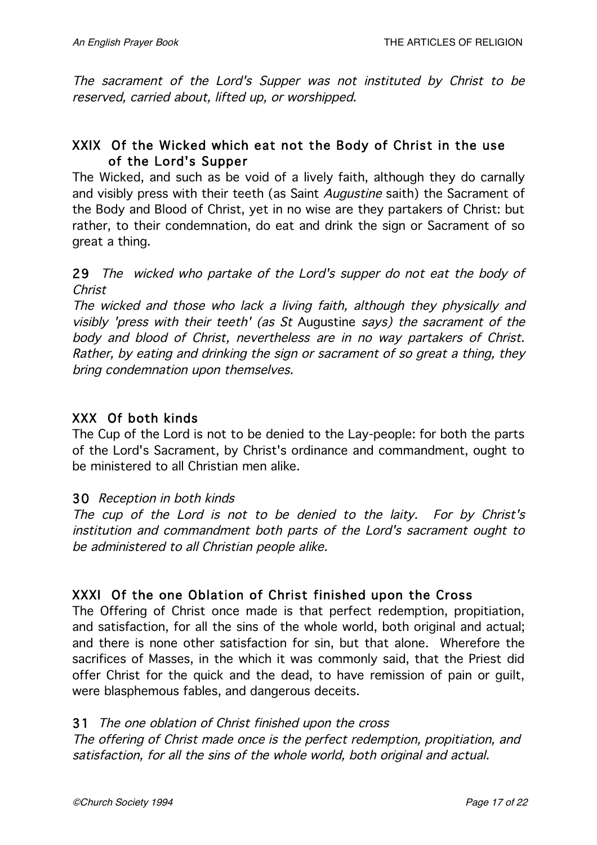The sacrament of the Lord's Supper was not instituted by Christ to be reserved, carried about, lifted up, or worshipped.

# XXIX Of the Wicked which eat not the Body of Christ in the use of the Lord's Supper

The Wicked, and such as be void of a lively faith, although they do carnally and visibly press with their teeth (as Saint Augustine saith) the Sacrament of the Body and Blood of Christ, yet in no wise are they partakers of Christ: but rather, to their condemnation, do eat and drink the sign or Sacrament of so great a thing.

29 The wicked who partake of the Lord's supper do not eat the body of Christ

The wicked and those who lack <sup>a</sup> living faith, although they physically and visibly 'press with their teeth' (as St Augustine says) the sacrament of the body and blood of Christ, nevertheless are in no way partakers of Christ. Rather, by eating and drinking the sign or sacrament of so great <sup>a</sup> thing, they bring condemnation upon themselves.

# XXX Of both kinds

The Cup of the Lord is not to be denied to the Lay-people: for both the parts of the Lord's Sacrament, by Christ's ordinance and commandment, ought to be ministered to all Christian men alike.

### 30 Reception in both kinds

The cup of the Lord is not to be denied to the laity. For by Christ's institution and commandment both parts of the Lord's sacrament ought to be administered to all Christian people alike.

# XXXI Of the one Oblation of Christ finished upon the Cross

The Offering of Christ once made is that perfect redemption, propitiation, and satisfaction, for all the sins of the whole world, both original and actual; and there is none other satisfaction for sin, but that alone. Wherefore the sacrifices of Masses, in the which it was commonly said, that the Priest did offer Christ for the quick and the dead, to have remission of pain or guilt, were blasphemous fables, and dangerous deceits.

### 31 The one oblation of Christ finished upon the cross

The offering of Christ made once is the perfect redemption, propitiation, and satisfaction, for all the sins of the whole world, both original and actual.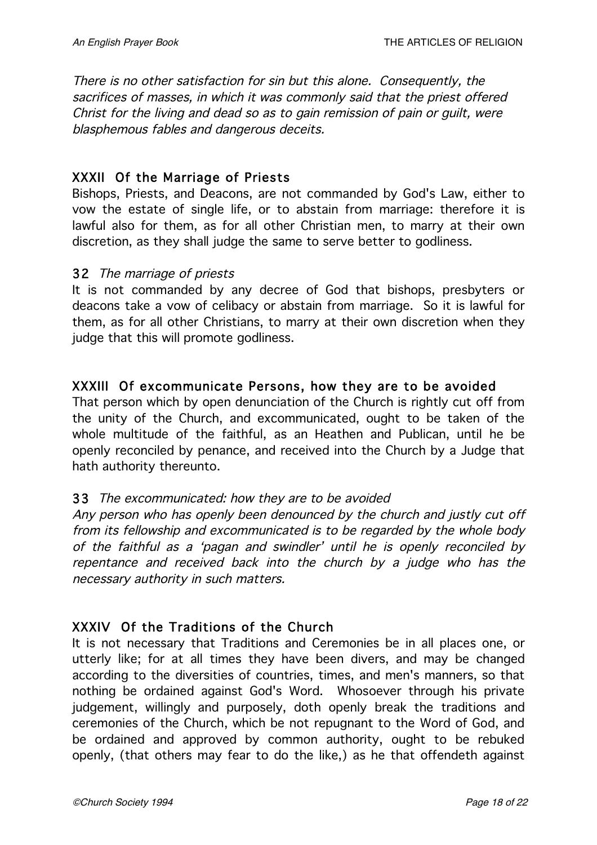There is no other satisfaction for sin but this alone. Consequently, the sacrifices of masses, in which it was commonly said that the priest offered Christ for the living and dead so as to gain remission of pain or guilt, were blasphemous fables and dangerous deceits.

### XXXII Of the Marriage of Priests

Bishops, Priests, and Deacons, are not commanded by God's Law, either to vow the estate of single life, or to abstain from marriage: therefore it is lawful also for them, as for all other Christian men, to marry at their own discretion, as they shall judge the same to serve better to godliness.

### 32 The marriage of priests

It is not commanded by any decree of God that bishops, presbyters or deacons take a vow of celibacy or abstain from marriage. So it is lawful for them, as for all other Christians, to marry at their own discretion when they judge that this will promote godliness.

# XXXIII Of excommunicate Persons, how they are to be avoided

That person which by open denunciation of the Church is rightly cut off from the unity of the Church, and excommunicated, ought to be taken of the whole multitude of the faithful, as an Heathen and Publican, until he be openly reconciled by penance, and received into the Church by a Judge that hath authority thereunto.

### 33 The excommunicated: how they are to be avoided

Any person who has openly been denounced by the church and justly cut off from its fellowship and excommunicated is to be regarded by the whole body of the faithful as <sup>a</sup> 'pagan and swindler' until he is openly reconciled by repentance and received back into the church by <sup>a</sup> judge who has the necessary authority in such matters.

### XXXIV Of the Traditions of the Church

It is not necessary that Traditions and Ceremonies be in all places one, or utterly like; for at all times they have been divers, and may be changed according to the diversities of countries, times, and men's manners, so that nothing be ordained against God's Word. Whosoever through his private judgement, willingly and purposely, doth openly break the traditions and ceremonies of the Church, which be not repugnant to the Word of God, and be ordained and approved by common authority, ought to be rebuked openly, (that others may fear to do the like,) as he that offendeth against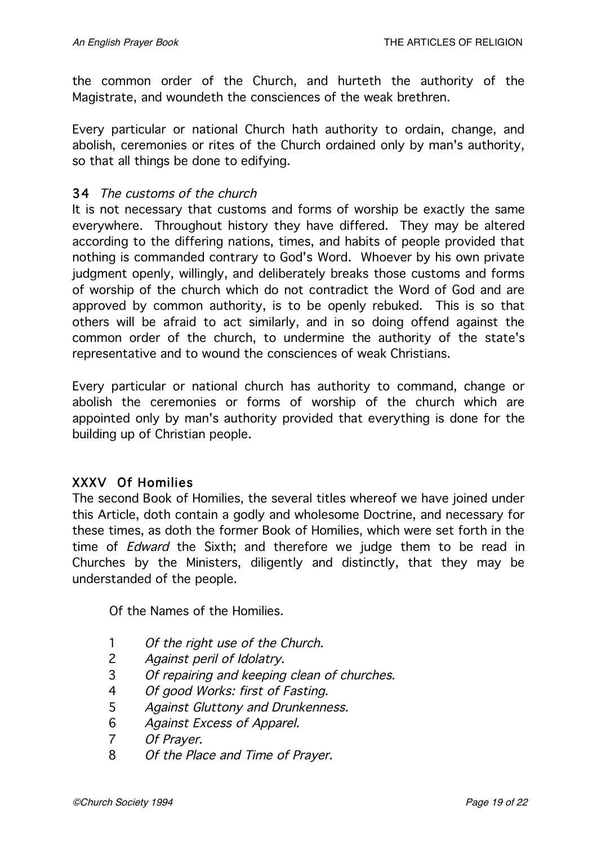the common order of the Church, and hurteth the authority of the Magistrate, and woundeth the consciences of the weak brethren.

Every particular or national Church hath authority to ordain, change, and abolish, ceremonies or rites of the Church ordained only by man's authority, so that all things be done to edifying.

#### 34 The customs of the church

It is not necessary that customs and forms of worship be exactly the same everywhere. Throughout history they have differed. They may be altered according to the differing nations, times, and habits of people provided that nothing is commanded contrary to God's Word. Whoever by his own private judgment openly, willingly, and deliberately breaks those customs and forms of worship of the church which do not contradict the Word of God and are approved by common authority, is to be openly rebuked. This is so that others will be afraid to act similarly, and in so doing offend against the common order of the church, to undermine the authority of the state's representative and to wound the consciences of weak Christians.

Every particular or national church has authority to command, change or abolish the ceremonies or forms of worship of the church which are appointed only by man's authority provided that everything is done for the building up of Christian people.

### XXXV Of Homilies

The second Book of Homilies, the several titles whereof we have joined under this Article, doth contain a godly and wholesome Doctrine, and necessary for these times, as doth the former Book of Homilies, which were set forth in the time of *Edward* the Sixth; and therefore we judge them to be read in Churches by the Ministers, diligently and distinctly, that they may be understanded of the people.

Of the Names of the Homilies.

- 1 Of the right use of the Church.
- 2 Against peril of Idolatry.
- 3 Of repairing and keeping clean of churches.
- 4 Of good Works: first of Fasting.
- 5 Against Gluttony and Drunkenness.
- 6 Against Excess of Apparel.
- 7 Of Prayer.
- 8 Of the Place and Time of Prayer.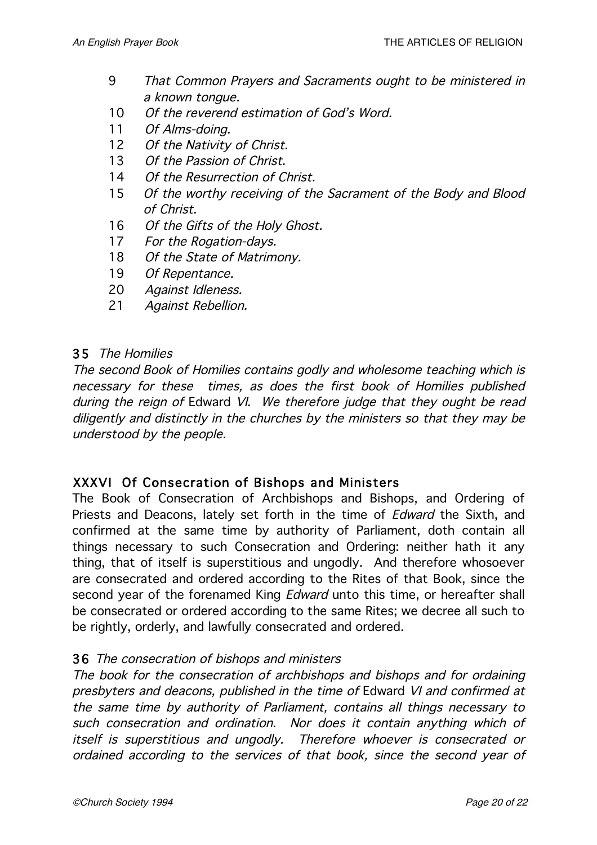- 9 That Common Prayers and Sacraments ought to be ministered in <sup>a</sup> known tongue.
- 10 Of the reverend estimation of God's Word.
- 11 Of Alms-doing.
- 12 Of the Nativity of Christ.
- 13 Of the Passion of Christ.
- 14 Of the Resurrection of Christ.
- 15 Of the worthy receiving of the Sacrament of the Body and Blood of Christ.
- 16 Of the Gifts of the Holy Ghost.
- 17 For the Rogation-days.
- 18 Of the State of Matrimony.
- 19 Of Repentance.
- 20 Against Idleness.
- 21 Against Rebellion.

### 35 The Homilies

The second Book of Homilies contains godly and wholesome teaching which is necessary for these times, as does the first book of Homilies published during the reign of Edward VI. We therefore judge that they ought be read diligently and distinctly in the churches by the ministers so that they may be understood by the people.

### XXXVI Of Consecration of Bishops and Ministers

The Book of Consecration of Archbishops and Bishops, and Ordering of Priests and Deacons, lately set forth in the time of *Edward* the Sixth, and confirmed at the same time by authority of Parliament, doth contain all things necessary to such Consecration and Ordering: neither hath it any thing, that of itself is superstitious and ungodly. And therefore whosoever are consecrated and ordered according to the Rites of that Book, since the second year of the forenamed King *Edward* unto this time, or hereafter shall be consecrated or ordered according to the same Rites; we decree all such to be rightly, orderly, and lawfully consecrated and ordered.

#### 36 The consecration of bishops and ministers

The book for the consecration of archbishops and bishops and for ordaining presbyters and deacons, published in the time of Edward VI and confirmed at the same time by authority of Parliament, contains all things necessary to such consecration and ordination. Nor does it contain anything which of itself is superstitious and ungodly. Therefore whoever is consecrated or ordained according to the services of that book, since the second year of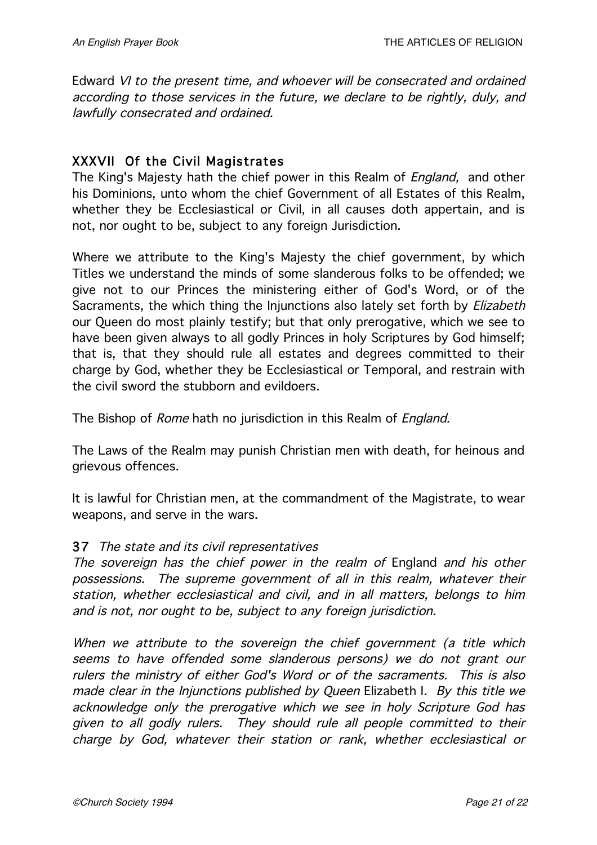Edward VI to the present time, and whoever will be consecrated and ordained according to those services in the future, we declare to be rightly, duly, and lawfully consecrated and ordained.

### XXXVII Of the Civil Magistrates

The King's Majesty hath the chief power in this Realm of *England*, and other his Dominions, unto whom the chief Government of all Estates of this Realm, whether they be Ecclesiastical or Civil, in all causes doth appertain, and is not, nor ought to be, subject to any foreign Jurisdiction.

Where we attribute to the King's Majesty the chief government, by which Titles we understand the minds of some slanderous folks to be offended; we give not to our Princes the ministering either of God's Word, or of the Sacraments, the which thing the Injunctions also lately set forth by *Elizabeth* our Queen do most plainly testify; but that only prerogative, which we see to have been given always to all godly Princes in holy Scriptures by God himself; that is, that they should rule all estates and degrees committed to their charge by God, whether they be Ecclesiastical or Temporal, and restrain with the civil sword the stubborn and evildoers.

The Bishop of Rome hath no jurisdiction in this Realm of England.

The Laws of the Realm may punish Christian men with death, for heinous and grievous offences.

It is lawful for Christian men, at the commandment of the Magistrate, to wear weapons, and serve in the wars.

#### 37 The state and its civil representatives

The sovereign has the chief power in the realm of England and his other possessions. The supreme government of all in this realm, whatever their station, whether ecclesiastical and civil, and in all matters, belongs to him and is not, nor ought to be, subject to any foreign jurisdiction.

When we attribute to the sovereign the chief government (a title which seems to have offended some slanderous persons) we do not grant our rulers the ministry of either God's Word or of the sacraments. This is also made clear in the Injunctions published by Queen Elizabeth I. By this title we acknowledge only the prerogative which we see in holy Scripture God has given to all godly rulers. They should rule all people committed to their charge by God, whatever their station or rank, whether ecclesiastical or